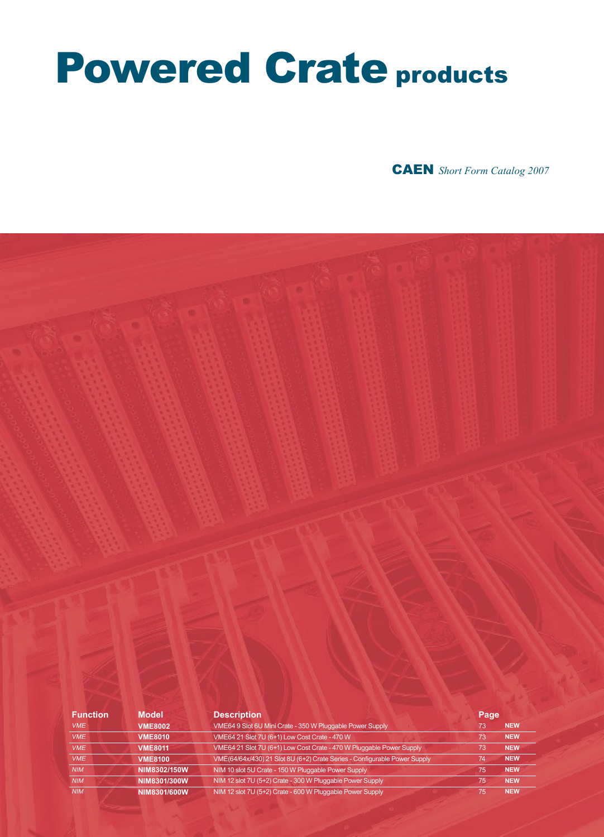# Powered Crate products

CAEN *Short Form Catalog 2007*

| <b>Function</b> | <b>Model</b>   | <b>Description</b>                                                        | Page |            |
|-----------------|----------------|---------------------------------------------------------------------------|------|------------|
| <b>VME</b>      | <b>VME8002</b> | VME64 9 Slot 6U Mini Crate - 350 W Pluggable Power Supply                 | 73   | <b>NEW</b> |
| <b>VME</b>      | <b>VME8010</b> | VME64 21 Slot 7U (6+1) Low Cost Crate - 470 W                             | 73   | <b>NEW</b> |
| <b>VME</b>      | <b>VME8011</b> | VME64 21 Slot 7U (6+1) Low Cost Crate - 470 W Pluggable Power Supply      | 73   | <b>NEW</b> |
| <b>VME</b>      | <b>VME8100</b> | VME(64/64x/430) 21 Slot 8U (6+2) Crate Series - Configurable Power Supply | 74   | <b>NEW</b> |
| <b>NIM</b>      | NIM8302/150W   | NIM 10 slot 5U Crate - 150 W Pluggable Power Supply                       | 75   | <b>NEW</b> |
| <b>NIM</b>      | NIM8301/300W   | NIM 12 slot 7U (5+2) Crate - 300 W Pluggable Power Supply                 | 75   | <b>NEW</b> |
| <b>NIM</b>      | NIM8301/600W   | NIM 12 slot 7U (5+2) Crate - 600 W Pluggable Power Supply                 | 75   | <b>NEW</b> |
|                 |                |                                                                           |      |            |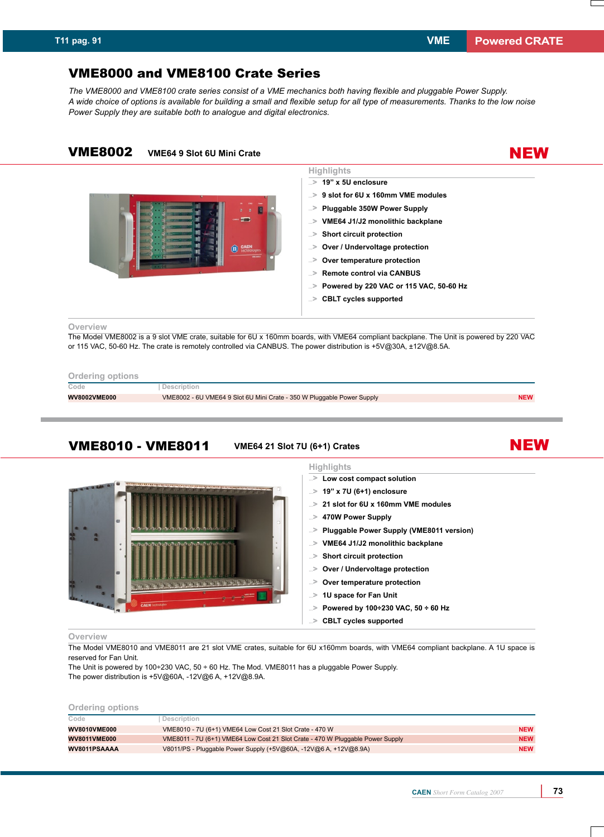NEW

# VME8000 and VME8100 Crate Series

*The VME8000 and VME8100 crate series consist of a VME mechanics both having flexible and pluggable Power Supply. A wide choice of options is available for building a small and flexible setup for all type of measurements. Thanks to the low noise Power Supply they are suitable both to analogue and digital electronics.*

# VME8002 **VME64 9 Slot 6U Mini Crate**



## **Highlights 19" x 5U enclosure ...**>

- **9 slot for 6U x 160mm VME modules ...**>
- **Pluggable 50W Power Supply ...**>
- **VME64 J1/J2 monolithic backplane ...**>
- **Short circuit protection ...**>
- **Over / Undervoltage protection ...**>
- **Over temperature protection ...**>
- **Remote control via CANBUS ...**>
- **Powered by 220 VAC or 115 VAC, 50-60 Hz ...**>
- **CBLT cycles supported ...**>

#### **Overview**

The Model VME8002 is a 9 slot VME crate, suitable for 6U x 160mm boards, with VME64 compliant backplane. The Unit is powered by 220 VAC or 115 VAC, 50-60 Hz. The crate is remotely controlled via CANBUS. The power distribution is +5V@30A, ±12V@8.5A.

## **Ordering options**

| Code                | Description                                                            |            |
|---------------------|------------------------------------------------------------------------|------------|
| <b>WV8002VME000</b> | VME8002 - 6U VME64 9 Slot 6U Mini Crate - 350 W Pluggable Power Supply | <b>NEW</b> |
|                     |                                                                        |            |

# VME8010 - VME8011 **VME64 21 Slot 7U (6+1) Crates**



# **Highlights**

- **Low cost compact solution ...**>
- **19" x 7U (6+1) enclosure ...**>
- **21 slot for 6U x 160mm VME modules ...**>
- **470W Power Supply ...**>
- **Pluggable Power Supply (VME8011 version) ...**>
- **VME64 J1/J2 monolithic backplane ...**>
- **Short circuit protection ...**>
- **Over / Undervoltage protection ...**>
- **Over temperature protection ...**>
- **1U space for Fan Unit ...**>
- ...> Powered by 100÷230 VAC, 50 ÷ 60 Hz
- **CBLT cycles supported ...**>

#### **Overview**

The Model VME8010 and VME8011 are 21 slot VME crates, suitable for 6U x160mm boards, with VME64 compliant backplane. A 1U space is reserved for Fan Unit.

The Unit is powered by 100÷230 VAC, 50 ÷ 60 Hz. The Mod. VME8011 has a pluggable Power Supply. The power distribution is +5V@60A, -12V@6 A, +12V@8.9A.

| Ordering options    |                                                                                |            |
|---------------------|--------------------------------------------------------------------------------|------------|
| Code                | Description                                                                    |            |
| <b>WV8010VME000</b> | VME8010 - 7U (6+1) VME64 Low Cost 21 Slot Crate - 470 W                        | <b>NEW</b> |
| <b>WV8011VME000</b> | VME8011 - 7U (6+1) VME64 Low Cost 21 Slot Crate - 470 W Pluggable Power Supply | <b>NEW</b> |
| WV8011PSAAAA        | V8011/PS - Pluggable Power Supply (+5V@60A, -12V@6 A, +12V@8.9A)               | <b>NEW</b> |
|                     |                                                                                |            |

NEW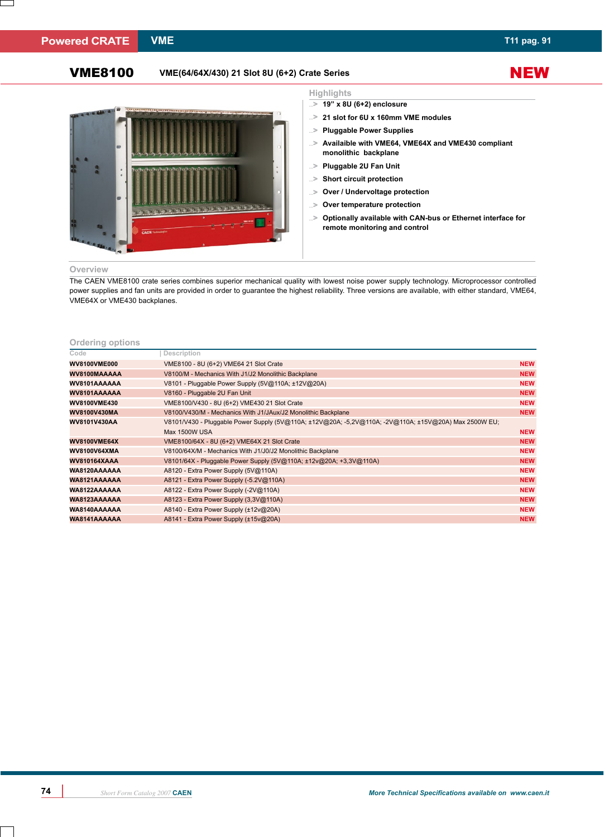# **Highlights**

- 
- **19" x 8U (6+2) enclosure ...**>
- **21 slot for 6U x 160mm VME modules ...**>
- **Pluggable Power Supplies ...**>
- **Availaible with VME64, VME64X and VME430 compliant ...**> **monolithic backplane**
- **Pluggable 2U Fan Unit ...**>
- **Short circuit protection ...**>
- **Over / Undervoltage protection ...**>
- **Over temperature protection ...**>
- **Optionally available with CAN-bus or Ethernet interface for remote monitoring and control ...**>

#### **Overview**

The CAEN VME8100 crate series combines superior mechanical quality with lowest noise power supply technology. Microprocessor controlled power supplies and fan units are provided in order to guarantee the highest reliability. Three versions are available, with either standard, VME64, VME64X or VME430 backplanes.

## **Ordering options**

| Code                | Description                                                                                           |            |
|---------------------|-------------------------------------------------------------------------------------------------------|------------|
| <b>WV8100VME000</b> | VME8100 - 8U (6+2) VME64 21 Slot Crate                                                                | <b>NEW</b> |
| WV8100MAAAAA        | V8100/M - Mechanics With J1/J2 Monolithic Backplane                                                   | <b>NEW</b> |
| WV8101AAAAAA        | V8101 - Pluggable Power Supply (5V@110A; ±12V@20A)                                                    | <b>NEW</b> |
| WV8101AAAAAA        | V8160 - Pluggable 2U Fan Unit                                                                         |            |
| <b>WV8100VME430</b> | VME8100/V430 - 8U (6+2) VME430 21 Slot Crate                                                          | <b>NEW</b> |
| WV8100V430MA        | V8100/V430/M - Mechanics With J1/JAux/J2 Monolithic Backplane                                         | <b>NEW</b> |
| WV8101V430AA        | V8101/V430 - Pluggable Power Supply (5V@110A; ±12V@20A; -5,2V@110A; -2V@110A; ±15V@20A) Max 2500W EU; |            |
|                     | Max 1500W USA                                                                                         | <b>NEW</b> |
| <b>WV8100VME64X</b> | VME8100/64X - 8U (6+2) VME64X 21 Slot Crate                                                           | <b>NEW</b> |
| <b>WV8100V64XMA</b> | V8100/64X/M - Mechanics With J1/J0/J2 Monolithic Backplane                                            | <b>NEW</b> |
| <b>WV810164XAAA</b> | V8101/64X - Pluggable Power Supply (5V@110A; ±12v@20A; +3,3V@110A)                                    | <b>NEW</b> |
| WA8120AAAAAA        | A8120 - Extra Power Supply (5V@110A)                                                                  | <b>NEW</b> |
| WA8121AAAAAA        | A8121 - Extra Power Supply (-5.2V@110A)                                                               | <b>NEW</b> |
| WA8122AAAAAA        | A8122 - Extra Power Supply (-2V@110A)                                                                 | <b>NEW</b> |
| WA8123AAAAAA        | A8123 - Extra Power Supply (3,3V@110A)                                                                | <b>NEW</b> |
| WA8140AAAAAA        | A8140 - Extra Power Supply (±12v@20A)                                                                 | <b>NEW</b> |
| WA8141AAAAAA        | A8141 - Extra Power Supply (±15v@20A)                                                                 | <b>NEW</b> |

**NEW**